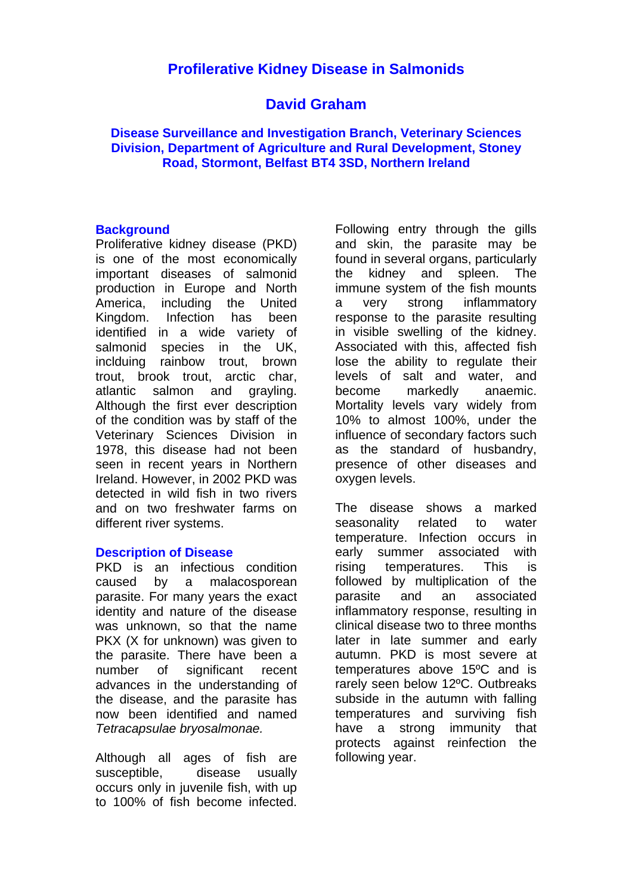# **Profilerative Kidney Disease in Salmonids**

# **David Graham**

#### **Disease Surveillance and Investigation Branch, Veterinary Sciences Division, Department of Agriculture and Rural Development, Stoney Road, Stormont, Belfast BT4 3SD, Northern Ireland**

#### **Background**

Proliferative kidney disease (PKD) is one of the most economically important diseases of salmonid production in Europe and North America, including the United Kingdom. Infection has been identified in a wide variety of salmonid species in the UK, inclduing rainbow trout, brown trout, brook trout, arctic char, atlantic salmon and grayling. Although the first ever description of the condition was by staff of the Veterinary Sciences Division in 1978, this disease had not been seen in recent years in Northern Ireland. However, in 2002 PKD was detected in wild fish in two rivers and on two freshwater farms on different river systems.

#### **Description of Disease**

PKD is an infectious condition caused by a malacosporean parasite. For many years the exact identity and nature of the disease was unknown, so that the name PKX (X for unknown) was given to the parasite. There have been a number of significant recent advances in the understanding of the disease, and the parasite has now been identified and named *Tetracapsulae bryosalmonae.* 

Although all ages of fish are susceptible, disease usually occurs only in juvenile fish, with up to 100% of fish become infected.

Following entry through the gills and skin, the parasite may be found in several organs, particularly the kidney and spleen. The immune system of the fish mounts a very strong inflammatory response to the parasite resulting in visible swelling of the kidney. Associated with this, affected fish lose the ability to regulate their levels of salt and water, and become markedly anaemic. Mortality levels vary widely from 10% to almost 100%, under the influence of secondary factors such as the standard of husbandry, presence of other diseases and oxygen levels.

The disease shows a marked seasonality related to water temperature. Infection occurs in early summer associated with rising temperatures. This is followed by multiplication of the parasite and an associated inflammatory response, resulting in clinical disease two to three months later in late summer and early autumn. PKD is most severe at temperatures above 15ºC and is rarely seen below 12ºC. Outbreaks subside in the autumn with falling temperatures and surviving fish have a strong immunity that protects against reinfection the following year.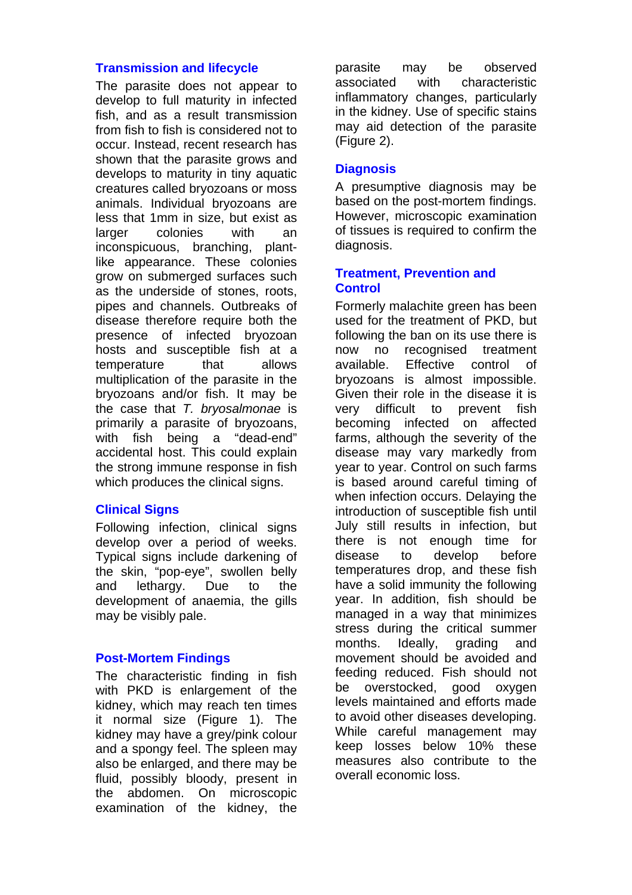#### **Transmission and lifecycle**

The parasite does not appear to develop to full maturity in infected fish, and as a result transmission from fish to fish is considered not to occur. Instead, recent research has shown that the parasite grows and develops to maturity in tiny aquatic creatures called bryozoans or moss animals. Individual bryozoans are less that 1mm in size, but exist as larger colonies with an inconspicuous, branching, plantlike appearance. These colonies grow on submerged surfaces such as the underside of stones, roots, pipes and channels. Outbreaks of disease therefore require both the presence of infected bryozoan hosts and susceptible fish at a temperature that allows multiplication of the parasite in the bryozoans and/or fish. It may be the case that *T. bryosalmonae* is primarily a parasite of bryozoans, with fish being a "dead-end" accidental host. This could explain the strong immune response in fish which produces the clinical signs.

#### **Clinical Signs**

Following infection, clinical signs develop over a period of weeks. Typical signs include darkening of the skin, "pop-eye", swollen belly and lethargy. Due to the development of anaemia, the gills may be visibly pale.

#### **Post-Mortem Findings**

The characteristic finding in fish with PKD is enlargement of the kidney, which may reach ten times it normal size (Figure 1). The kidney may have a grey/pink colour and a spongy feel. The spleen may also be enlarged, and there may be fluid, possibly bloody, present in the abdomen. On microscopic examination of the kidney, the

parasite may be observed associated with characteristic inflammatory changes, particularly in the kidney. Use of specific stains may aid detection of the parasite (Figure 2).

### **Diagnosis**

A presumptive diagnosis may be based on the post-mortem findings. However, microscopic examination of tissues is required to confirm the diagnosis.

### **Treatment, Prevention and Control**

Formerly malachite green has been used for the treatment of PKD, but following the ban on its use there is now no recognised treatment available. Effective control of bryozoans is almost impossible. Given their role in the disease it is very difficult to prevent fish becoming infected on affected farms, although the severity of the disease may vary markedly from year to year. Control on such farms is based around careful timing of when infection occurs. Delaying the introduction of susceptible fish until July still results in infection, but there is not enough time for disease to develop before temperatures drop, and these fish have a solid immunity the following year. In addition, fish should be managed in a way that minimizes stress during the critical summer months. Ideally, grading and movement should be avoided and feeding reduced. Fish should not be overstocked, good oxygen levels maintained and efforts made to avoid other diseases developing. While careful management may keep losses below 10% these measures also contribute to the overall economic loss.